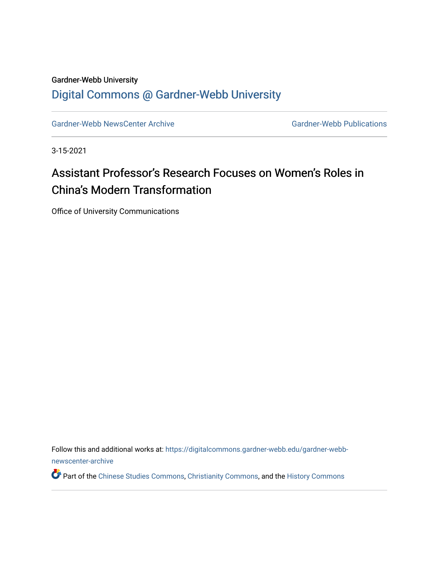#### Gardner-Webb University [Digital Commons @ Gardner-Webb University](https://digitalcommons.gardner-webb.edu/)

[Gardner-Webb NewsCenter Archive](https://digitalcommons.gardner-webb.edu/gardner-webb-newscenter-archive) Gardner-Webb Publications

3-15-2021

### Assistant Professor's Research Focuses on Women's Roles in China's Modern Transformation

Office of University Communications

Follow this and additional works at: [https://digitalcommons.gardner-webb.edu/gardner-webb](https://digitalcommons.gardner-webb.edu/gardner-webb-newscenter-archive?utm_source=digitalcommons.gardner-webb.edu%2Fgardner-webb-newscenter-archive%2F2150&utm_medium=PDF&utm_campaign=PDFCoverPages)[newscenter-archive](https://digitalcommons.gardner-webb.edu/gardner-webb-newscenter-archive?utm_source=digitalcommons.gardner-webb.edu%2Fgardner-webb-newscenter-archive%2F2150&utm_medium=PDF&utm_campaign=PDFCoverPages)

Part of the [Chinese Studies Commons](https://network.bepress.com/hgg/discipline/1081?utm_source=digitalcommons.gardner-webb.edu%2Fgardner-webb-newscenter-archive%2F2150&utm_medium=PDF&utm_campaign=PDFCoverPages), [Christianity Commons](https://network.bepress.com/hgg/discipline/1181?utm_source=digitalcommons.gardner-webb.edu%2Fgardner-webb-newscenter-archive%2F2150&utm_medium=PDF&utm_campaign=PDFCoverPages), and the [History Commons](https://network.bepress.com/hgg/discipline/489?utm_source=digitalcommons.gardner-webb.edu%2Fgardner-webb-newscenter-archive%2F2150&utm_medium=PDF&utm_campaign=PDFCoverPages)